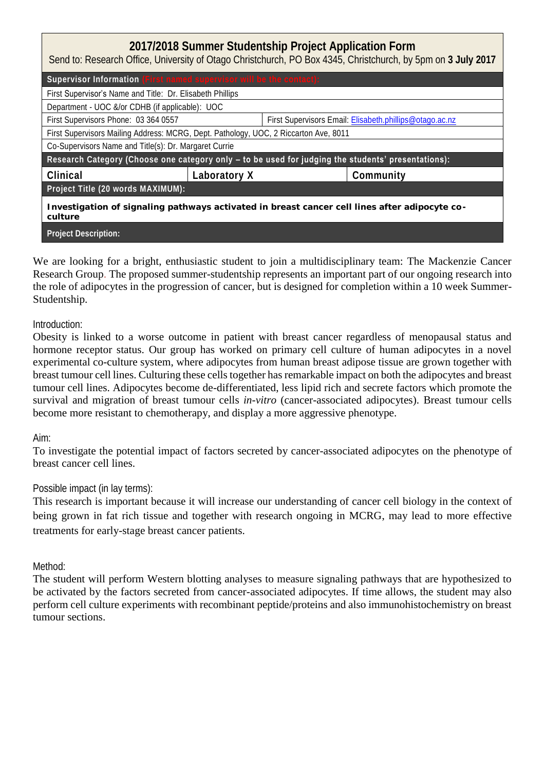| 2017/2018 Summer Studentship Project Application Form<br>Send to: Research Office, University of Otago Christchurch, PO Box 4345, Christchurch, by 5pm on 3 July 2017 |  |                                                         |  |  |
|-----------------------------------------------------------------------------------------------------------------------------------------------------------------------|--|---------------------------------------------------------|--|--|
| Supervisor Information (First named supervisor will be the contact):                                                                                                  |  |                                                         |  |  |
| First Supervisor's Name and Title: Dr. Elisabeth Phillips                                                                                                             |  |                                                         |  |  |
| Department - UOC &/or CDHB (if applicable): UOC                                                                                                                       |  |                                                         |  |  |
| First Supervisors Phone: 03 364 0557                                                                                                                                  |  | First Supervisors Email: Elisabeth.phillips@otaqo.ac.nz |  |  |
| First Supervisors Mailing Address: MCRG, Dept. Pathology, UOC, 2 Riccarton Ave, 8011                                                                                  |  |                                                         |  |  |
| Co-Supervisors Name and Title(s): Dr. Margaret Currie                                                                                                                 |  |                                                         |  |  |
| Research Category (Choose one category only - to be used for judging the students' presentations):                                                                    |  |                                                         |  |  |
| Clinical<br>Laboratory X                                                                                                                                              |  | Community                                               |  |  |
| Project Title (20 words MAXIMUM):                                                                                                                                     |  |                                                         |  |  |
| Investigation of signaling pathways activated in breast cancer cell lines after adipocyte co-<br>culture                                                              |  |                                                         |  |  |
| <b>Project Description:</b>                                                                                                                                           |  |                                                         |  |  |

We are looking for a bright, enthusiastic student to join a multidisciplinary team: The Mackenzie Cancer Research Group. The proposed summer-studentship represents an important part of our ongoing research into the role of adipocytes in the progression of cancer, but is designed for completion within a 10 week Summer-Studentship.

## Introduction:

Obesity is linked to a worse outcome in patient with breast cancer regardless of menopausal status and hormone receptor status. Our group has worked on primary cell culture of human adipocytes in a novel experimental co-culture system, where adipocytes from human breast adipose tissue are grown together with breast tumour cell lines. Culturing these cells together has remarkable impact on both the adipocytes and breast tumour cell lines. Adipocytes become de-differentiated, less lipid rich and secrete factors which promote the survival and migration of breast tumour cells *in-vitro* (cancer-associated adipocytes). Breast tumour cells become more resistant to chemotherapy, and display a more aggressive phenotype.

## Aim:

To investigate the potential impact of factors secreted by cancer-associated adipocytes on the phenotype of breast cancer cell lines.

## Possible impact (in lay terms):

This research is important because it will increase our understanding of cancer cell biology in the context of being grown in fat rich tissue and together with research ongoing in MCRG, may lead to more effective treatments for early-stage breast cancer patients.

## Method:

The student will perform Western blotting analyses to measure signaling pathways that are hypothesized to be activated by the factors secreted from cancer-associated adipocytes. If time allows, the student may also perform cell culture experiments with recombinant peptide/proteins and also immunohistochemistry on breast tumour sections.